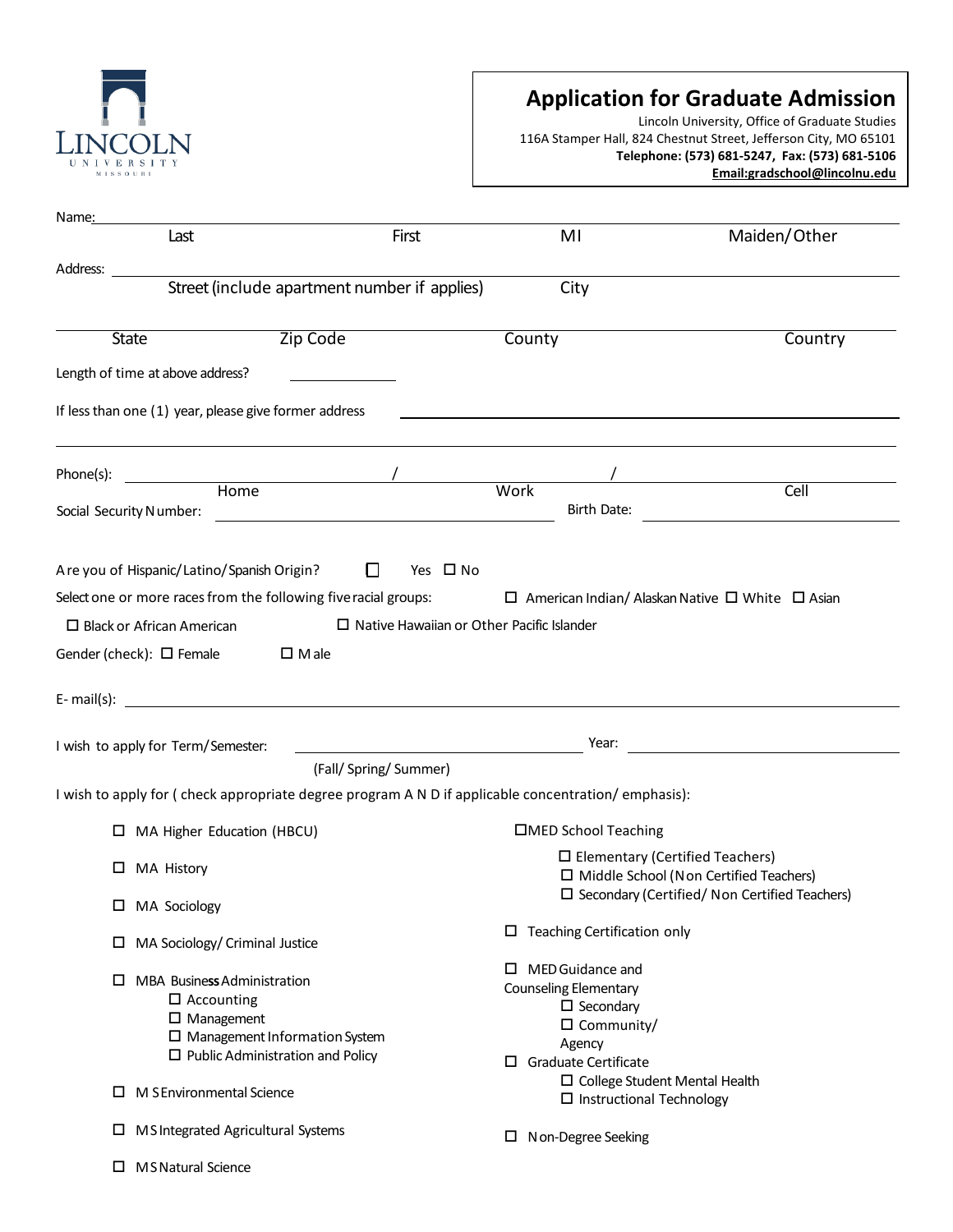

N U N I V E R S I T Y MISSOURI

 $\square$  M S Natural Science

116A Stamper Hall, 824 Chestnut Street, Jefferson City, MO 65101 **Telephone: (573) 681-5247, Fax: (573) 681-5106 Email:gradschool@lincolnu.edu** 

| Name:                   |                                                                 |                                                                                                    |                                       |                                                                                                     |
|-------------------------|-----------------------------------------------------------------|----------------------------------------------------------------------------------------------------|---------------------------------------|-----------------------------------------------------------------------------------------------------|
|                         | Last                                                            | First                                                                                              | MI                                    | Maiden/Other                                                                                        |
| Address:                |                                                                 |                                                                                                    |                                       |                                                                                                     |
|                         |                                                                 | Street (include apartment number if applies)                                                       | City                                  |                                                                                                     |
| <b>State</b>            |                                                                 | Zip Code                                                                                           | County                                | Country                                                                                             |
|                         | Length of time at above address?                                |                                                                                                    |                                       |                                                                                                     |
|                         | If less than one (1) year, please give former address           |                                                                                                    |                                       |                                                                                                     |
| Phone(s):               | Home                                                            |                                                                                                    |                                       |                                                                                                     |
| Social Security Number: |                                                                 |                                                                                                    | Work<br>Birth Date:                   | Cell                                                                                                |
|                         | Are you of Hispanic/Latino/Spanish Origin?                      | $\Box$<br>Yes $\square$ No                                                                         |                                       |                                                                                                     |
|                         | Select one or more races from the following five racial groups: |                                                                                                    |                                       | $\Box$ American Indian/ Alaskan Native $\Box$ White $\Box$ Asian                                    |
|                         | □ Black or African American                                     | $\Box$ Native Hawaiian or Other Pacific Islander                                                   |                                       |                                                                                                     |
|                         | Gender (check): $\Box$ Female                                   | $\square$ M ale                                                                                    |                                       |                                                                                                     |
|                         |                                                                 | E- mail(s): $\qquad \qquad$                                                                        |                                       |                                                                                                     |
|                         | I wish to apply for Term/Semester:                              |                                                                                                    | Year:                                 |                                                                                                     |
|                         |                                                                 | (Fall/ Spring/ Summer)                                                                             |                                       |                                                                                                     |
|                         |                                                                 | I wish to apply for (check appropriate degree program A N D if applicable concentration/emphasis): |                                       |                                                                                                     |
|                         | $\Box$ MA Higher Education (HBCU)                               |                                                                                                    | □MED School Teaching                  |                                                                                                     |
| □                       | MA History                                                      |                                                                                                    |                                       | $\square$ Elementary (Certified Teachers)                                                           |
|                         | □ MA Sociology                                                  |                                                                                                    |                                       | □ Middle School (Non Certified Teachers)<br>$\square$ Secondary (Certified/ Non Certified Teachers) |
|                         |                                                                 |                                                                                                    | $\Box$ Teaching Certification only    |                                                                                                     |
| ш.                      | MA Sociology/ Criminal Justice                                  |                                                                                                    | $\Box$ MED Guidance and               |                                                                                                     |
| □                       | MBA Business Administration                                     |                                                                                                    | <b>Counseling Elementary</b>          |                                                                                                     |
|                         | $\Box$ Accounting                                               |                                                                                                    | $\square$ Secondary                   |                                                                                                     |
|                         | $\square$ Management<br>$\Box$ Management Information System    |                                                                                                    | $\Box$ Community/                     |                                                                                                     |
|                         | $\Box$ Public Administration and Policy                         |                                                                                                    | Agency<br>$\Box$ Graduate Certificate |                                                                                                     |
|                         |                                                                 |                                                                                                    |                                       | □ College Student Mental Health                                                                     |
| □                       | M SEnvironmental Science                                        |                                                                                                    |                                       | $\square$ Instructional Technology                                                                  |
| □                       | MS Integrated Agricultural Systems                              |                                                                                                    | $\Box$ N on-Degree Seeking            |                                                                                                     |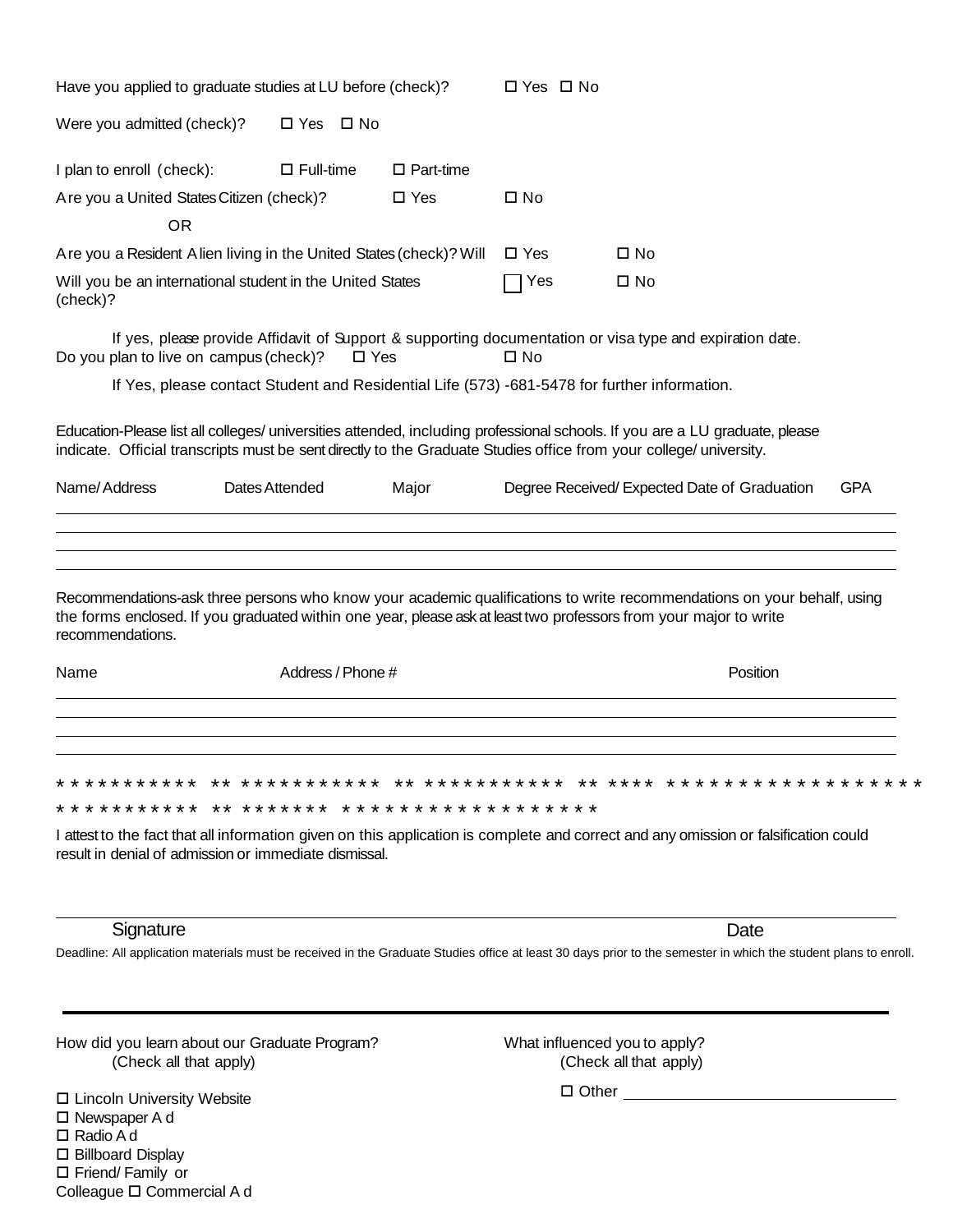| Have you applied to graduate studies at LU before (check)?              |                       |                  | □ Yes □ No                                                                                                                                                                                                                                        |            |  |  |
|-------------------------------------------------------------------------|-----------------------|------------------|---------------------------------------------------------------------------------------------------------------------------------------------------------------------------------------------------------------------------------------------------|------------|--|--|
| Were you admitted (check)?                                              | □ No<br>$\Box$ Yes    |                  |                                                                                                                                                                                                                                                   |            |  |  |
| I plan to enroll (check):                                               | $\square$ Full-time   | $\Box$ Part-time |                                                                                                                                                                                                                                                   |            |  |  |
| Are you a United States Citizen (check)?                                |                       | $\Box$ Yes       | $\square$ No                                                                                                                                                                                                                                      |            |  |  |
| <b>OR</b>                                                               |                       |                  |                                                                                                                                                                                                                                                   |            |  |  |
| Are you a Resident Alien living in the United States (check)? Will      |                       |                  | $\square$ Yes<br>$\square$ No                                                                                                                                                                                                                     |            |  |  |
| Will you be an international student in the United States<br>(check)?   |                       |                  | Yes<br>$\square$ No                                                                                                                                                                                                                               |            |  |  |
| Do you plan to live on campus (check)?                                  |                       | $\Box$ Yes       | If yes, please provide Affidavit of Support & supporting documentation or visa type and expiration date.<br>$\square$ No                                                                                                                          |            |  |  |
|                                                                         |                       |                  | If Yes, please contact Student and Residential Life (573) -681-5478 for further information.                                                                                                                                                      |            |  |  |
|                                                                         |                       |                  | Education-Please list all colleges/ universities attended, including professional schools. If you are a LU graduate, please<br>indicate. Official transcripts must be sent directly to the Graduate Studies office from your college/ university. |            |  |  |
| Name/Address                                                            | Dates Attended        | Major            | Degree Received/ Expected Date of Graduation                                                                                                                                                                                                      | <b>GPA</b> |  |  |
| recommendations.                                                        |                       |                  | Recommendations-ask three persons who know your academic qualifications to write recommendations on your behalf, using<br>the forms enclosed. If you graduated within one year, please ask at least two professors from your major to write       |            |  |  |
| Name                                                                    | Address / Phone #     |                  | Position                                                                                                                                                                                                                                          |            |  |  |
| result in denial of admission or immediate dismissal.                   | * * * * * * * * * * * |                  | I attest to the fact that all information given on this application is complete and correct and any omission or falsification could                                                                                                               |            |  |  |
| Signature                                                               |                       |                  | Date                                                                                                                                                                                                                                              |            |  |  |
|                                                                         |                       |                  | Deadline: All application materials must be received in the Graduate Studies office at least 30 days prior to the semester in which the student plans to enroll.                                                                                  |            |  |  |
| How did you learn about our Graduate Program?<br>(Check all that apply) |                       |                  | What influenced you to apply?<br>(Check all that apply)                                                                                                                                                                                           |            |  |  |
| □ Lincoln University Website                                            |                       |                  |                                                                                                                                                                                                                                                   |            |  |  |

□ Lincoln University Website<br>□ Newspaper A d<br>□ Radio A d □ Rillboard Display<br>□ Friend/ Family or<br>Colleague □ Commercial A d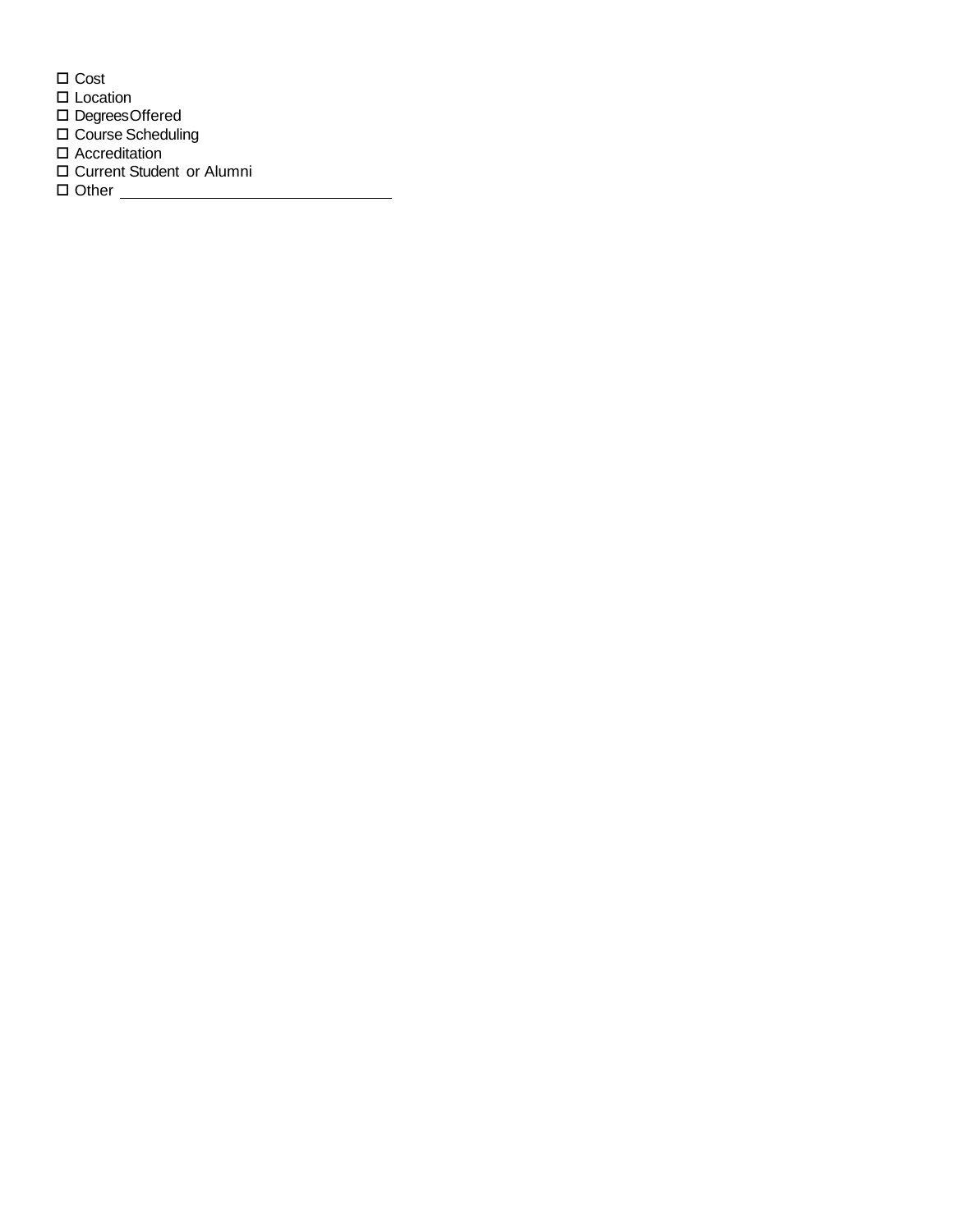□ Cost □ Location Degrees Offered □ Course Scheduling Accreditation Current Student or Alumni Other